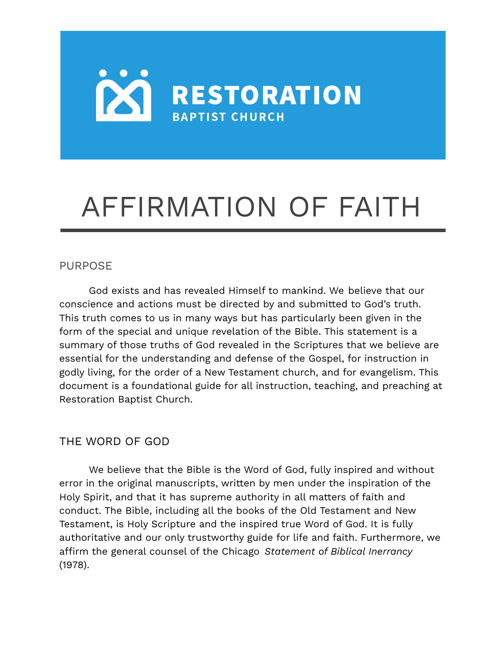# **RESTORATION BAPTIST CHURCH**

# AFFIRMATION OF FAITH

# PURPOSE

God exists and has revealed Himself to mankind. We believe that our conscience and actions must be directed by and submitted to God's truth. This truth comes to us in many ways but has particularly been given in the form of the special and unique revelation of the Bible. This statement is a summary of those truths of God revealed in the Scriptures that we believe are essential for the understanding and defense of the Gospel, for instruction in godly living, for the order of a New Testament church, and for evangelism. This document is a foundational guide for all instruction, teaching, and preaching at Restoration Baptist Church.

# THE WORD OF GOD

We believe that the Bible is the Word of God, fully inspired and without error in the original manuscripts, written by men under the inspiration of the Holy Spirit, and that it has supreme authority in all matters of faith and conduct. The Bible, including all the books of the Old Testament and New Testament, is Holy Scripture and the inspired true Word of God. It is fully authoritative and our only trustworthy guide for life and faith. Furthermore, we affirm the general counsel of the Chicago *Statement of Biblical Inerrancy* (1978).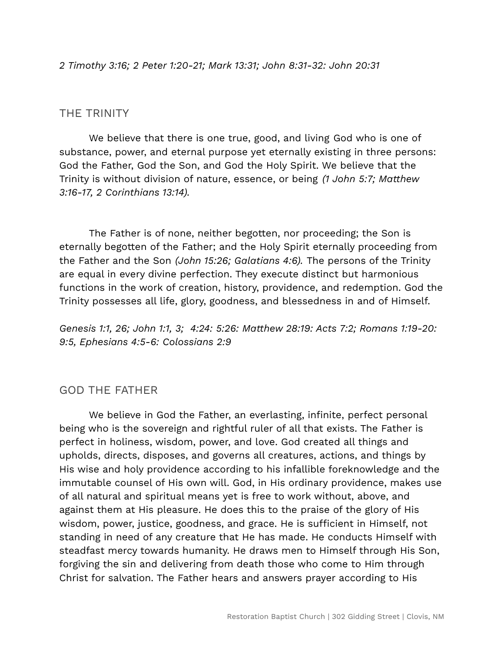#### THE TRINITY

We believe that there is one true, good, and living God who is one of substance, power, and eternal purpose yet eternally existing in three persons: God the Father, God the Son, and God the Holy Spirit. We believe that the Trinity is without division of nature, essence, or being *(1 John 5:7; Matthew 3:16-17, 2 Corinthians 13:14).*

The Father is of none, neither begotten, nor proceeding; the Son is eternally begotten of the Father; and the Holy Spirit eternally proceeding from the Father and the Son *(John 15:26; Galatians 4:6).* The persons of the Trinity are equal in every divine perfection. They execute distinct but harmonious functions in the work of creation, history, providence, and redemption. God the Trinity possesses all life, glory, goodness, and blessedness in and of Himself.

*Genesis 1:1, 26; John 1:1, 3; 4:24: 5:26: Matthew 28:19: Acts 7:2; Romans 1:19-20: 9:5, Ephesians 4:5-6: Colossians 2:9*

#### GOD THE FATHER

We believe in God the Father, an everlasting, infinite, perfect personal being who is the sovereign and rightful ruler of all that exists. The Father is perfect in holiness, wisdom, power, and love. God created all things and upholds, directs, disposes, and governs all creatures, actions, and things by His wise and holy providence according to his infallible foreknowledge and the immutable counsel of His own will. God, in His ordinary providence, makes use of all natural and spiritual means yet is free to work without, above, and against them at His pleasure. He does this to the praise of the glory of His wisdom, power, justice, goodness, and grace. He is sufficient in Himself, not standing in need of any creature that He has made. He conducts Himself with steadfast mercy towards humanity. He draws men to Himself through His Son, forgiving the sin and delivering from death those who come to Him through Christ for salvation. The Father hears and answers prayer according to His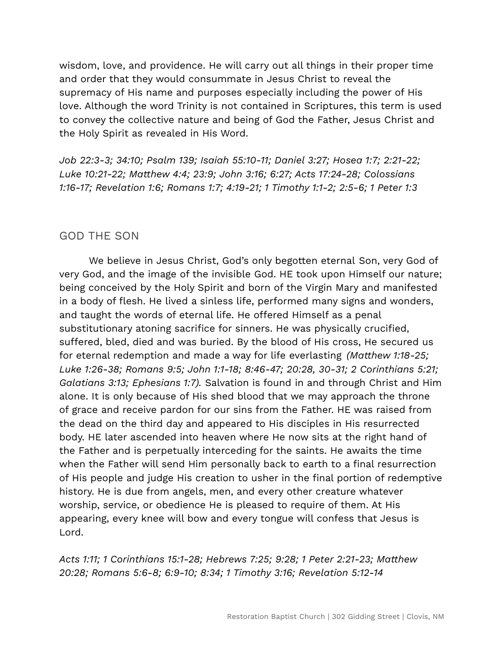wisdom, love, and providence. He will carry out all things in their proper time and order that they would consummate in Jesus Christ to reveal the supremacy of His name and purposes especially including the power of His love. Although the word Trinity is not contained in Scriptures, this term is used to convey the collective nature and being of God the Father, Jesus Christ and the Holy Spirit as revealed in His Word.

*Job 22:3-3; 34:10; Psalm 139; Isaiah 55:10-11; Daniel 3:27; Hosea 1:7; 2:21-22; Luke 10:21-22; Matthew 4:4; 23:9; John 3:16; 6:27; Acts 17:24-28; Colossians 1:16-17; Revelation 1:6; Romans 1:7; 4:19-21; 1 Timothy 1:1-2; 2:5-6; 1 Peter 1:3*

#### GOD THE SON

We believe in Jesus Christ, God's only begotten eternal Son, very God of very God, and the image of the invisible God. HE took upon Himself our nature; being conceived by the Holy Spirit and born of the Virgin Mary and manifested in a body of flesh. He lived a sinless life, performed many signs and wonders, and taught the words of eternal life. He offered Himself as a penal substitutionary atoning sacrifice for sinners. He was physically crucified, suffered, bled, died and was buried. By the blood of His cross, He secured us for eternal redemption and made a way for life everlasting *(Matthew 1:18-25; Luke 1:26-38; Romans 9:5; John 1:1-18; 8:46-47; 20:28, 30-31; 2 Corinthians 5:21; Galatians 3:13; Ephesians 1:7).* Salvation is found in and through Christ and Him alone. It is only because of His shed blood that we may approach the throne of grace and receive pardon for our sins from the Father. HE was raised from the dead on the third day and appeared to His disciples in His resurrected body. HE later ascended into heaven where He now sits at the right hand of the Father and is perpetually interceding for the saints. He awaits the time when the Father will send Him personally back to earth to a final resurrection of His people and judge His creation to usher in the final portion of redemptive history. He is due from angels, men, and every other creature whatever worship, service, or obedience He is pleased to require of them. At His appearing, every knee will bow and every tongue will confess that Jesus is Lord.

*Acts 1:11; 1 Corinthians 15:1-28; Hebrews 7:25; 9:28; 1 Peter 2:21-23; Matthew 20:28; Romans 5:6-8; 6:9-10; 8:34; 1 Timothy 3:16; Revelation 5:12-14*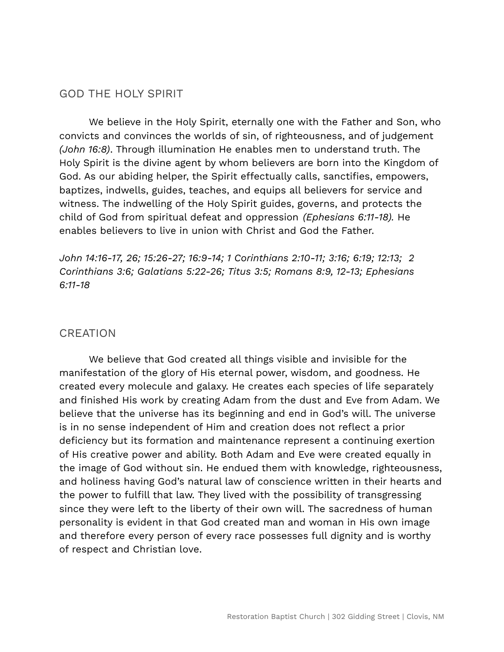#### GOD THE HOLY SPIRIT

We believe in the Holy Spirit, eternally one with the Father and Son, who convicts and convinces the worlds of sin, of righteousness, and of judgement *(John 16:8)*. Through illumination He enables men to understand truth. The Holy Spirit is the divine agent by whom believers are born into the Kingdom of God. As our abiding helper, the Spirit effectually calls, sanctifies, empowers, baptizes, indwells, guides, teaches, and equips all believers for service and witness. The indwelling of the Holy Spirit guides, governs, and protects the child of God from spiritual defeat and oppression *(Ephesians 6:11-18).* He enables believers to live in union with Christ and God the Father.

*John 14:16-17, 26; 15:26-27; 16:9-14; 1 Corinthians 2:10-11; 3:16; 6:19; 12:13; 2 Corinthians 3:6; Galatians 5:22-26; Titus 3:5; Romans 8:9, 12-13; Ephesians 6:11-18*

#### CREATION

We believe that God created all things visible and invisible for the manifestation of the glory of His eternal power, wisdom, and goodness. He created every molecule and galaxy. He creates each species of life separately and finished His work by creating Adam from the dust and Eve from Adam. We believe that the universe has its beginning and end in God's will. The universe is in no sense independent of Him and creation does not reflect a prior deficiency but its formation and maintenance represent a continuing exertion of His creative power and ability. Both Adam and Eve were created equally in the image of God without sin. He endued them with knowledge, righteousness, and holiness having God's natural law of conscience written in their hearts and the power to fulfill that law. They lived with the possibility of transgressing since they were left to the liberty of their own will. The sacredness of human personality is evident in that God created man and woman in His own image and therefore every person of every race possesses full dignity and is worthy of respect and Christian love.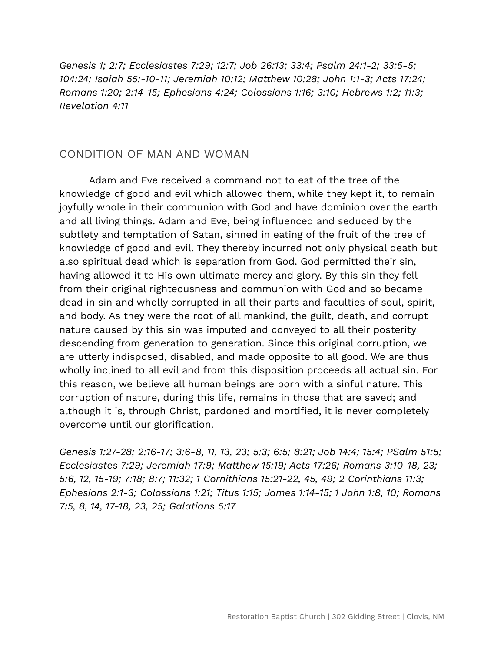*Genesis 1; 2:7; Ecclesiastes 7:29; 12:7; Job 26:13; 33:4; Psalm 24:1-2; 33:5-5; 104:24; Isaiah 55:-10-11; Jeremiah 10:12; Matthew 10:28; John 1:1-3; Acts 17:24; Romans 1:20; 2:14-15; Ephesians 4:24; Colossians 1:16; 3:10; Hebrews 1:2; 11:3; Revelation 4:11*

#### CONDITION OF MAN AND WOMAN

Adam and Eve received a command not to eat of the tree of the knowledge of good and evil which allowed them, while they kept it, to remain joyfully whole in their communion with God and have dominion over the earth and all living things. Adam and Eve, being influenced and seduced by the subtlety and temptation of Satan, sinned in eating of the fruit of the tree of knowledge of good and evil. They thereby incurred not only physical death but also spiritual dead which is separation from God. God permitted their sin, having allowed it to His own ultimate mercy and glory. By this sin they fell from their original righteousness and communion with God and so became dead in sin and wholly corrupted in all their parts and faculties of soul, spirit, and body. As they were the root of all mankind, the guilt, death, and corrupt nature caused by this sin was imputed and conveyed to all their posterity descending from generation to generation. Since this original corruption, we are utterly indisposed, disabled, and made opposite to all good. We are thus wholly inclined to all evil and from this disposition proceeds all actual sin. For this reason, we believe all human beings are born with a sinful nature. This corruption of nature, during this life, remains in those that are saved; and although it is, through Christ, pardoned and mortified, it is never completely overcome until our glorification.

*Genesis 1:27-28; 2:16-17; 3:6-8, 11, 13, 23; 5:3; 6:5; 8:21; Job 14:4; 15:4; PSalm 51:5; Ecclesiastes 7:29; Jeremiah 17:9; Matthew 15:19; Acts 17:26; Romans 3:10-18, 23; 5:6, 12, 15-19; 7:18; 8:7; 11:32; 1 Cornithians 15:21-22, 45, 49; 2 Corinthians 11:3; Ephesians 2:1-3; Colossians 1:21; Titus 1:15; James 1:14-15; 1 John 1:8, 10; Romans 7:5, 8, 14, 17-18, 23, 25; Galatians 5:17*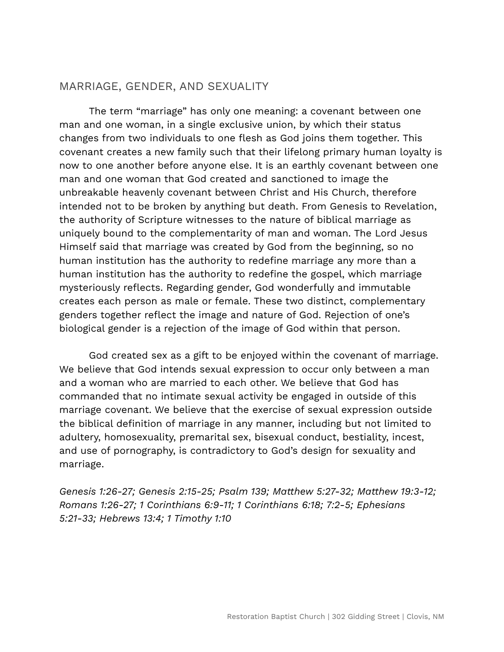### MARRIAGE, GENDER, AND SEXUALITY

The term "marriage" has only one meaning: a covenant between one man and one woman, in a single exclusive union, by which their status changes from two individuals to one flesh as God joins them together. This covenant creates a new family such that their lifelong primary human loyalty is now to one another before anyone else. It is an earthly covenant between one man and one woman that God created and sanctioned to image the unbreakable heavenly covenant between Christ and His Church, therefore intended not to be broken by anything but death. From Genesis to Revelation, the authority of Scripture witnesses to the nature of biblical marriage as uniquely bound to the complementarity of man and woman. The Lord Jesus Himself said that marriage was created by God from the beginning, so no human institution has the authority to redefine marriage any more than a human institution has the authority to redefine the gospel, which marriage mysteriously reflects. Regarding gender, God wonderfully and immutable creates each person as male or female. These two distinct, complementary genders together reflect the image and nature of God. Rejection of one's biological gender is a rejection of the image of God within that person.

God created sex as a gift to be enjoyed within the covenant of marriage. We believe that God intends sexual expression to occur only between a man and a woman who are married to each other. We believe that God has commanded that no intimate sexual activity be engaged in outside of this marriage covenant. We believe that the exercise of sexual expression outside the biblical definition of marriage in any manner, including but not limited to adultery, homosexuality, premarital sex, bisexual conduct, bestiality, incest, and use of pornography, is contradictory to God's design for sexuality and marriage.

*Genesis 1:26-27; Genesis 2:15-25; Psalm 139; Matthew 5:27-32; Matthew 19:3-12; Romans 1:26-27; 1 Corinthians 6:9-11; 1 Corinthians 6:18; 7:2-5; Ephesians 5:21-33; Hebrews 13:4; 1 Timothy 1:10*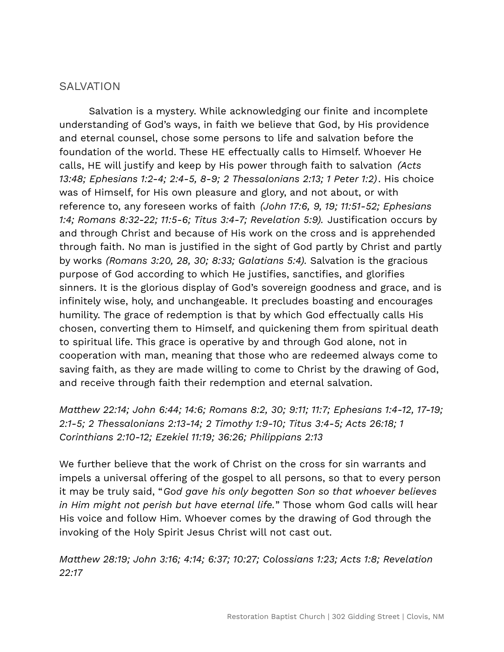#### **SALVATION**

Salvation is a mystery. While acknowledging our finite and incomplete understanding of God's ways, in faith we believe that God, by His providence and eternal counsel, chose some persons to life and salvation before the foundation of the world. These HE effectually calls to Himself. Whoever He calls, HE will justify and keep by His power through faith to salvation *(Acts 13:48; Ephesians 1:2-4; 2:4-5, 8-9; 2 Thessalonians 2:13; 1 Peter 1:2)*. His choice was of Himself, for His own pleasure and glory, and not about, or with reference to, any foreseen works of faith *(John 17:6, 9, 19; 11:51-52; Ephesians 1:4; Romans 8:32-22; 11:5-6; Titus 3:4-7; Revelation 5:9).* Justification occurs by and through Christ and because of His work on the cross and is apprehended through faith. No man is justified in the sight of God partly by Christ and partly by works *(Romans 3:20, 28, 30; 8:33; Galatians 5:4).* Salvation is the gracious purpose of God according to which He justifies, sanctifies, and glorifies sinners. It is the glorious display of God's sovereign goodness and grace, and is infinitely wise, holy, and unchangeable. It precludes boasting and encourages humility. The grace of redemption is that by which God effectually calls His chosen, converting them to Himself, and quickening them from spiritual death to spiritual life. This grace is operative by and through God alone, not in cooperation with man, meaning that those who are redeemed always come to saving faith, as they are made willing to come to Christ by the drawing of God, and receive through faith their redemption and eternal salvation.

*Matthew 22:14; John 6:44; 14:6; Romans 8:2, 30; 9:11; 11:7; Ephesians 1:4-12, 17-19; 2:1-5; 2 Thessalonians 2:13-14; 2 Timothy 1:9-10; Titus 3:4-5; Acts 26:18; 1 Corinthians 2:10-12; Ezekiel 11:19; 36:26; Philippians 2:13*

We further believe that the work of Christ on the cross for sin warrants and impels a universal offering of the gospel to all persons, so that to every person it may be truly said, "*God gave his only begotten Son so that whoever believes in Him might not perish but have eternal life.*" Those whom God calls will hear His voice and follow Him. Whoever comes by the drawing of God through the invoking of the Holy Spirit Jesus Christ will not cast out.

*Matthew 28:19; John 3:16; 4:14; 6:37; 10:27; Colossians 1:23; Acts 1:8; Revelation 22:17*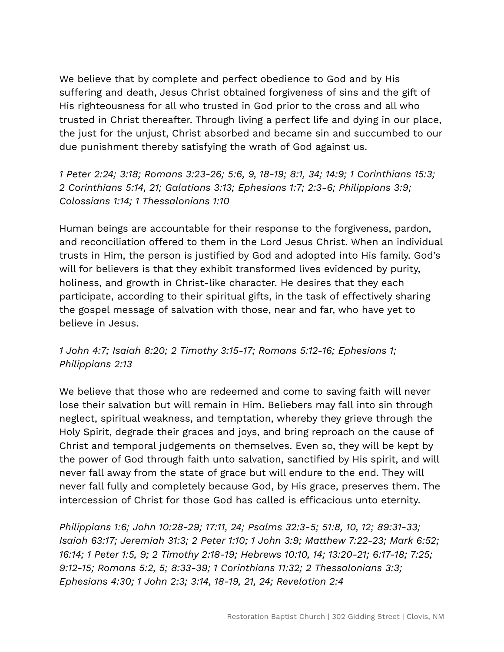We believe that by complete and perfect obedience to God and by His suffering and death, Jesus Christ obtained forgiveness of sins and the gift of His righteousness for all who trusted in God prior to the cross and all who trusted in Christ thereafter. Through living a perfect life and dying in our place, the just for the unjust, Christ absorbed and became sin and succumbed to our due punishment thereby satisfying the wrath of God against us.

*1 Peter 2:24; 3:18; Romans 3:23-26; 5:6, 9, 18-19; 8:1, 34; 14:9; 1 Corinthians 15:3; 2 Corinthians 5:14, 21; Galatians 3:13; Ephesians 1:7; 2:3-6; Philippians 3:9; Colossians 1:14; 1 Thessalonians 1:10*

Human beings are accountable for their response to the forgiveness, pardon, and reconciliation offered to them in the Lord Jesus Christ. When an individual trusts in Him, the person is justified by God and adopted into His family. God's will for believers is that they exhibit transformed lives evidenced by purity, holiness, and growth in Christ-like character. He desires that they each participate, according to their spiritual gifts, in the task of effectively sharing the gospel message of salvation with those, near and far, who have yet to believe in Jesus.

# *1 John 4:7; Isaiah 8:20; 2 Timothy 3:15-17; Romans 5:12-16; Ephesians 1; Philippians 2:13*

We believe that those who are redeemed and come to saving faith will never lose their salvation but will remain in Him. Beliebers may fall into sin through neglect, spiritual weakness, and temptation, whereby they grieve through the Holy Spirit, degrade their graces and joys, and bring reproach on the cause of Christ and temporal judgements on themselves. Even so, they will be kept by the power of God through faith unto salvation, sanctified by His spirit, and will never fall away from the state of grace but will endure to the end. They will never fall fully and completely because God, by His grace, preserves them. The intercession of Christ for those God has called is efficacious unto eternity.

*Philippians 1:6; John 10:28-29; 17:11, 24; Psalms 32:3-5; 51:8, 10, 12; 89:31-33; Isaiah 63:17; Jeremiah 31:3; 2 Peter 1:10; 1 John 3:9; Matthew 7:22-23; Mark 6:52; 16:14; 1 Peter 1:5, 9; 2 Timothy 2:18-19; Hebrews 10:10, 14; 13:20-21; 6:17-18; 7:25; 9:12-15; Romans 5:2, 5; 8:33-39; 1 Corinthians 11:32; 2 Thessalonians 3:3; Ephesians 4:30; 1 John 2:3; 3:14, 18-19, 21, 24; Revelation 2:4*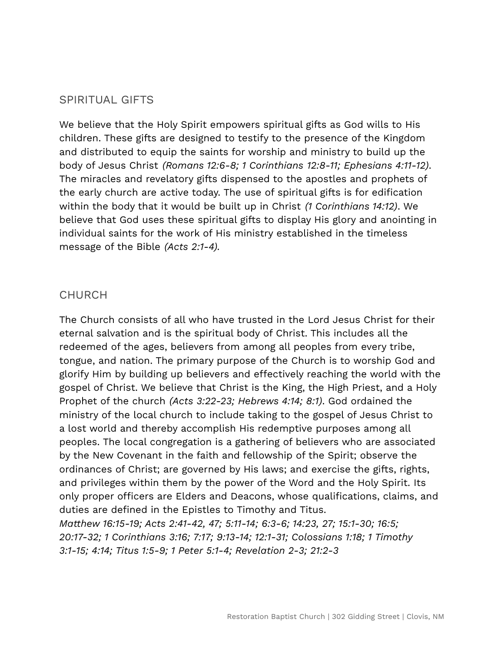#### SPIRITUAL GIFTS

We believe that the Holy Spirit empowers spiritual gifts as God wills to His children. These gifts are designed to testify to the presence of the Kingdom and distributed to equip the saints for worship and ministry to build up the body of Jesus Christ *(Romans 12:6-8; 1 Corinthians 12:8-11; Ephesians 4:11-12)*. The miracles and revelatory gifts dispensed to the apostles and prophets of the early church are active today. The use of spiritual gifts is for edification within the body that it would be built up in Christ *(1 Corinthians 14:12)*. We believe that God uses these spiritual gifts to display His glory and anointing in individual saints for the work of His ministry established in the timeless message of the Bible *(Acts 2:1-4).*

### CHURCH

The Church consists of all who have trusted in the Lord Jesus Christ for their eternal salvation and is the spiritual body of Christ. This includes all the redeemed of the ages, believers from among all peoples from every tribe, tongue, and nation. The primary purpose of the Church is to worship God and glorify Him by building up believers and effectively reaching the world with the gospel of Christ. We believe that Christ is the King, the High Priest, and a Holy Prophet of the church *(Acts 3:22-23; Hebrews 4:14; 8:1)*. God ordained the ministry of the local church to include taking to the gospel of Jesus Christ to a lost world and thereby accomplish His redemptive purposes among all peoples. The local congregation is a gathering of believers who are associated by the New Covenant in the faith and fellowship of the Spirit; observe the ordinances of Christ; are governed by His laws; and exercise the gifts, rights, and privileges within them by the power of the Word and the Holy Spirit. Its only proper officers are Elders and Deacons, whose qualifications, claims, and duties are defined in the Epistles to Timothy and Titus.

*Matthew 16:15-19; Acts 2:41-42, 47; 5:11-14; 6:3-6; 14:23, 27; 15:1-30; 16:5; 20:17-32; 1 Corinthians 3:16; 7:17; 9:13-14; 12:1-31; Colossians 1:18; 1 Timothy 3:1-15; 4:14; Titus 1:5-9; 1 Peter 5:1-4; Revelation 2-3; 21:2-3*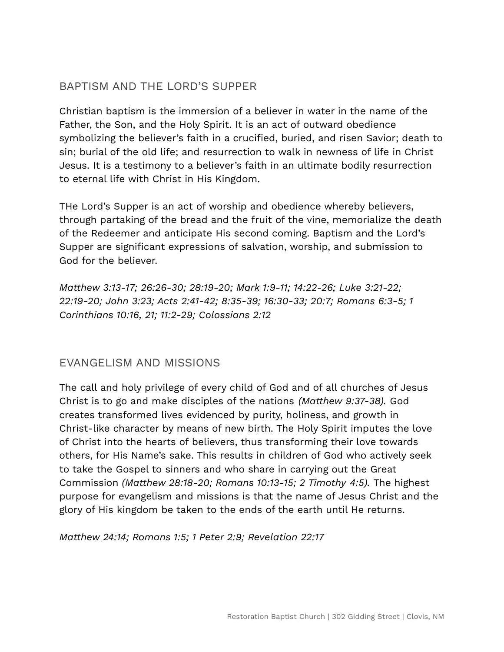# BAPTISM AND THE LORD'S SUPPER

Christian baptism is the immersion of a believer in water in the name of the Father, the Son, and the Holy Spirit. It is an act of outward obedience symbolizing the believer's faith in a crucified, buried, and risen Savior; death to sin; burial of the old life; and resurrection to walk in newness of life in Christ Jesus. It is a testimony to a believer's faith in an ultimate bodily resurrection to eternal life with Christ in His Kingdom.

THe Lord's Supper is an act of worship and obedience whereby believers, through partaking of the bread and the fruit of the vine, memorialize the death of the Redeemer and anticipate His second coming. Baptism and the Lord's Supper are significant expressions of salvation, worship, and submission to God for the believer.

*Matthew 3:13-17; 26:26-30; 28:19-20; Mark 1:9-11; 14:22-26; Luke 3:21-22; 22:19-20; John 3:23; Acts 2:41-42; 8:35-39; 16:30-33; 20:7; Romans 6:3-5; 1 Corinthians 10:16, 21; 11:2-29; Colossians 2:12*

# EVANGELISM AND MISSIONS

The call and holy privilege of every child of God and of all churches of Jesus Christ is to go and make disciples of the nations *(Matthew 9:37-38).* God creates transformed lives evidenced by purity, holiness, and growth in Christ-like character by means of new birth. The Holy Spirit imputes the love of Christ into the hearts of believers, thus transforming their love towards others, for His Name's sake. This results in children of God who actively seek to take the Gospel to sinners and who share in carrying out the Great Commission *(Matthew 28:18-20; Romans 10:13-15; 2 Timothy 4:5).* The highest purpose for evangelism and missions is that the name of Jesus Christ and the glory of His kingdom be taken to the ends of the earth until He returns.

*Matthew 24:14; Romans 1:5; 1 Peter 2:9; Revelation 22:17*